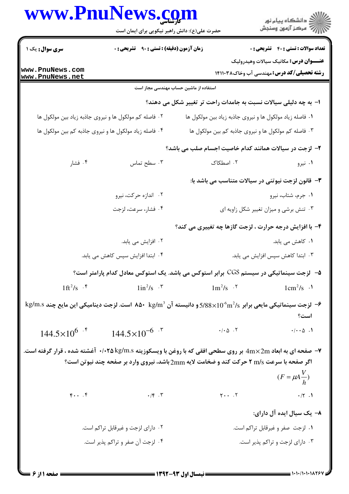| www.PnuNews.com                                        | حضرت علی(ع): دانش راهبر نیکویی برای ایمان است          |                                                                 | ڪ دانشڪاه پيام نور<br> 77 مرڪز آزمون وسنڊش                                                       |
|--------------------------------------------------------|--------------------------------------------------------|-----------------------------------------------------------------|--------------------------------------------------------------------------------------------------|
| <b>سری سوال :</b> یک ۱                                 | زمان آزمون (دقیقه) : تستی : ۹۰٪ تشریحی : ۰             |                                                                 | <b>تعداد سوالات : تستي : 40 قشریحي : 0</b>                                                       |
| www.PnuNews.com<br>www.PnuNews.net                     |                                                        |                                                                 | <b>عنـــوان درس:</b> مکانیک سیالات وهیدرولیک<br><b>رشته تحصیلی/کد درس:</b> مهندسی آب وخاک1۴۱۱۰۳۸ |
|                                                        | استفاده از ماشین حساب مهندسی مجاز است                  |                                                                 |                                                                                                  |
|                                                        |                                                        | ا– به چه دلیلی سیالات نسبت به جامدات راحت تر تغییر شکل می دهند؟ |                                                                                                  |
| ۰۲ فاصله کم مولکول ها و نیروی جاذبه زیاد بین مولکول ها |                                                        | ۰۱ فاصله زیاد مولکول ها و نیروی جاذبه زیاد بین مولکول ها        |                                                                                                  |
|                                                        | ۰۴ فاصله زیاد مولکول ها و نیروی جاذبه کم بین مولکول ها | ۰۳ فاصله کم مولکول ها و نیروی جاذبه کم بین مولکول ها            |                                                                                                  |
|                                                        |                                                        | ۲- لزجت در سیالات همانند کدام خاصیت اجسام صلب می باشد؟          |                                                                                                  |
| ۰۴ فشار                                                | ۰۳ سطح تماس                                            | ٢. اصطكاك                                                       | ۰۱ نیرو                                                                                          |
|                                                        |                                                        | <b>۳</b> - قانون لزجت نیوتنی در سیالات متناسب می باشد با:       |                                                                                                  |
|                                                        | ۰۲ اندازه حرکت، نیرو                                   |                                                                 | ۰۱ جرم، شتاب، نیرو                                                                               |
|                                                        | ۰۴ فشار، سرعت، لزجت                                    |                                                                 | ۰۳ تنش برشی و میزان تغییر شکل زاویه ای                                                           |
|                                                        |                                                        | ۴- با افزایش درجه حرارت ، لزجت گازها چه تغییری می کند؟          |                                                                                                  |
|                                                        | ۰۲ افزایش می یابد.                                     |                                                                 | ۰۱ کاهش می یابد.                                                                                 |

- ۰۴ ابتدا افزایش سپس کاهش می یابد. ۰۳ ابتدا کاهش سیس افزایش می یابد.
- ۵−۔ لزجت سینماتیکی در سیستم CGS برابر استوکس می باشد. یک استوکس معادل کدام پارامتر است؟
- $1 \text{ ft}^2/\text{s}$  .  $\text{F}$  $1 \text{ m}^2/\text{s}$  .  $\text{m}^2/\text{s}$  $1in^2/s$   $\cdot$   $\cdot$  $1cm^2/s$  .
- $\text{kg/m.s}$  لزجت سينماتيكي مايعي برابر 5/88×10^5 و دانيسته آن 143 $\text{kg/m}^3$  86 است. لزجت ديناميكي اين مايع چند $\text{s}$ است؟
	- $144.5 \times 10^{6}$  f  $144.5\times10^{-6}$  .  $\cdot$  /  $\cdot$   $\circ$   $\cdot$   $\cdot$   $\circ$  $\cdot/\cdot \cdot \Delta$ .
- ۷- صفحه ای به ابعاد 4m×2m بر روی سطحی افقی که با روغن با ویسکوزیته ۰/۰۲۵ kg/m.s آغشته شده ، قرار گرفته است. اگر صفحه با سرعت m/s ۲ حرکت کند و ضخامت لایه 2mm باشد، نیروی وارد بر صفحه چند نیوتن است؟  $(F = \mu A \frac{V}{h})$ 
	- $F \cdot \cdot \cdot$  $Y \cdot \cdot \cdot Y$  $.15.7$  $\cdot$ /۲.1
		- ۸– یک سیال ایده آل دارای:
		- ۰۲ دارای لزجت و غیرقابل تراکم است. ۰۱ لزجت صفر و غیرقابل تراکم است. ۰۴ لزجت آن صفر و تراکم پذیر است. ۰۳ دارای لزجت و تراکم پذیر است.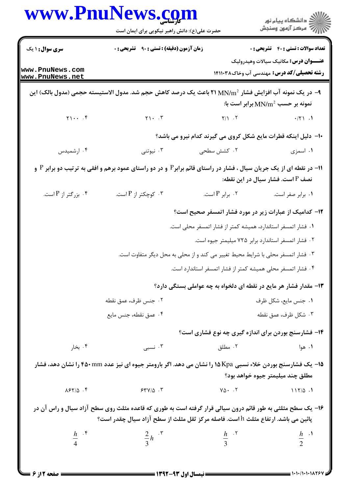|                                                        | www.PnuNews.com<br>حضرت علی(ع): دانش راهبر نیکویی برای ایمان است                                                                                                                               |                                                                                  | ڪ دانشڪاه پيام نور<br><mark>ر</mark> ⊽ مرڪز آزمون وسنڊش                                         |  |
|--------------------------------------------------------|------------------------------------------------------------------------------------------------------------------------------------------------------------------------------------------------|----------------------------------------------------------------------------------|-------------------------------------------------------------------------------------------------|--|
| <b>سری سوال : ۱ یک</b>                                 | <b>زمان آزمون (دقیقه) : تستی : ۹۰٪ تشریحی : 0</b>                                                                                                                                              |                                                                                  | <b>تعداد سوالات : تستي : 40 ٪ تشريحي : 0</b>                                                    |  |
| www.PnuNews.com<br>www.PnuNews.net                     |                                                                                                                                                                                                |                                                                                  | <b>عنـــوان درس:</b> مکانیک سیالات وهیدرولیک<br><b>رشته تحصیلی/کد درس:</b> مهندسی آب وخاک141131 |  |
|                                                        | ۹−  در یک نمونه آب افزایش فشار 2NN/m $^2$ ۲۱ باعث یک درصد کاهش حجم شد. مدول الاستیسته حجمی (مدول بالک) این                                                                                     |                                                                                  | نمونه بر حسب MN/m $^2$ برابر است با:                                                            |  |
| $Y \cup \cdots$                                        | $\gamma \cdot \cdot \tau$                                                                                                                                                                      | $Y/Y$ . $Y$                                                                      | $\cdot$ /٢١.1                                                                                   |  |
|                                                        |                                                                                                                                                                                                | ∙ا− دلیل اینکه قطرات مایع شکل کروی می گیرند کدام نیرو می باشد؟                   |                                                                                                 |  |
| ۰۴ ارشمیدس                                             | ۰۳ نیوتنی                                                                                                                                                                                      | ۰۲ کشش سطحی                                                                      | ۰۱ اسمزی                                                                                        |  |
|                                                        | ۰۱۱ در نقطه ای از یک جریان سیال ، فشار در راستای قائم برابر <sup>p</sup> و در دو راستای عمود برهم و افقی به ترتیب دو برابر P و                                                                 |                                                                                  | نصف P است. فشار سیال در این نقطه:                                                               |  |
| $P$ بزرگتر از $P$ است.                                 | ۰۳ کوچکتر از P است.                                                                                                                                                                            | ۰۲ برابر P است.                                                                  | ٠١. برابر صفر است.                                                                              |  |
| ۱۲- کدامیک از عبارات زیر در مورد فشار اتمسفر صحیح است؟ |                                                                                                                                                                                                |                                                                                  |                                                                                                 |  |
|                                                        |                                                                                                                                                                                                | ١. فشار اتمسفر استاندارد، همیشه کمتر از فشار اتمسفر محلی است.                    |                                                                                                 |  |
|                                                        |                                                                                                                                                                                                |                                                                                  | ٠٢ فشار اتمسفر استاندارد برابر ٧٢۵ ميليمتر جيوه است.                                            |  |
|                                                        |                                                                                                                                                                                                | ۰۳ فشار اتمسفر محلی با شرایط محیط تغییر می کند و از محلی به محل دیگر متفاوت است. |                                                                                                 |  |
|                                                        |                                                                                                                                                                                                | ۰۴ فشار اتمسفر محلی همیشه کمتر از فشار اتمسفر استاندارد است.                     |                                                                                                 |  |
|                                                        |                                                                                                                                                                                                | ۱۳- مقدار فشار هر مایع در نقطه ای دلخواه به چه عواملی بستگی دارد؟                |                                                                                                 |  |
|                                                        | ٢. جنس ظرف، عمق نقطه                                                                                                                                                                           |                                                                                  | ۰۱ جنس مايع، شكل ظرف                                                                            |  |
|                                                        | ۰۴ عمق نقطه، جنس مایع                                                                                                                                                                          |                                                                                  | ۰۳ شکل ظرف، عمق نقطه                                                                            |  |
|                                                        |                                                                                                                                                                                                | ۱۴- فشارسنج بوردن برای اندازه گیری چه نوع فشاری است؟                             |                                                                                                 |  |
| ۰۴ بخار                                                | ۰۳ نسبی                                                                                                                                                                                        | ۰۲ مطلق                                                                          | ۰۱ هوا                                                                                          |  |
|                                                        | <b>۱۵</b> - یک فشارسنج بوردن خلاء نسبی ۱۵Kpa را نشان می دهد. اگر بارومتر جیوه ای نیز عدد ۴۵۰mm را نشان دهد، فشار                                                                               |                                                                                  | مطلق چند میلیمتر جیوه خواهد بود؟                                                                |  |
| $\lambda$ ۶۲/۵.۴                                       | 544/2.7                                                                                                                                                                                        | $Y\Delta$ . $\cdot$ $\cdot$ $\cdot$                                              | 117/0.1                                                                                         |  |
|                                                        | ۱۶- یک سطح مثلثی به طور قائم درون سیالی قرار گرفته است به طوری که قاعده مثلث روی سطح آزاد سیال و راس آن در<br>پائین می باشد. ارتفاع مثلث h است. فاصله مرکز ثقل مثلث از سطح آزاد سیال چقدر است؟ |                                                                                  |                                                                                                 |  |
| $\frac{h}{4}$ . f                                      | $rac{2}{3}h$ . $\sqrt{ }$                                                                                                                                                                      | $\frac{h}{3}$ . T                                                                | $\frac{h}{2}$ .                                                                                 |  |
|                                                        |                                                                                                                                                                                                |                                                                                  |                                                                                                 |  |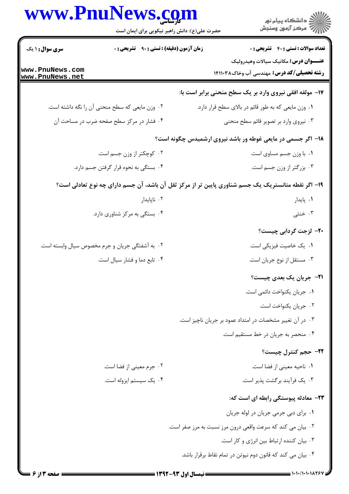| حضرت علی(ع): دانش راهبر نیکویی برای ایمان است<br>سری سوال : ۱ یک<br><b>زمان آزمون (دقیقه) : تستی : ۹۰ تشریحی : 0</b><br>۰۲ وزن مایعی که سطح منحنی آن را نگه داشته است.<br>۰۴ فشار در مرکز سطح صفحه ضرب در مساحت آن | ڪ دانشڪاه پيام نور<br>//> مرڪز آزمون وسنڊش<br><b>تعداد سوالات : تستي : 40 - تشريحي : 0</b><br><b>عنـــوان درس:</b> مکانیک سیالات وهیدرولیک<br><b>رشته تحصیلی/کد درس: م</b> هندسی آب وخاک14113 14<br>۱۷- مولفه افقی نیروی وارد بر یک سطح منحنی برابر است با:<br>٠١ وزن مايعي كه به طور قائم در بالاي سطح قرار دارد.<br>۰۳ نیروی وارد بر تصویر قائم سطح منحنی<br>۱۸– اگر جسمی در مایعی غوطه ور باشد نیروی ارشمیدس چگونه است؟<br>٠١ با وزن جسم مساوى است. |
|--------------------------------------------------------------------------------------------------------------------------------------------------------------------------------------------------------------------|--------------------------------------------------------------------------------------------------------------------------------------------------------------------------------------------------------------------------------------------------------------------------------------------------------------------------------------------------------------------------------------------------------------------------------------------------------|
|                                                                                                                                                                                                                    |                                                                                                                                                                                                                                                                                                                                                                                                                                                        |
| www.PnuNews.com<br>www.PnuNews.net                                                                                                                                                                                 |                                                                                                                                                                                                                                                                                                                                                                                                                                                        |
|                                                                                                                                                                                                                    |                                                                                                                                                                                                                                                                                                                                                                                                                                                        |
|                                                                                                                                                                                                                    |                                                                                                                                                                                                                                                                                                                                                                                                                                                        |
|                                                                                                                                                                                                                    |                                                                                                                                                                                                                                                                                                                                                                                                                                                        |
|                                                                                                                                                                                                                    |                                                                                                                                                                                                                                                                                                                                                                                                                                                        |
|                                                                                                                                                                                                                    |                                                                                                                                                                                                                                                                                                                                                                                                                                                        |
| ۰۲ کوچکتر از وزن جسم است.                                                                                                                                                                                          |                                                                                                                                                                                                                                                                                                                                                                                                                                                        |
| ۰۴ بستگی به نحوه قرار گرفتن جسم دارد.                                                                                                                                                                              | ۰۳ بزرگتر از وزن جسم است.                                                                                                                                                                                                                                                                                                                                                                                                                              |
| ۱۹– اگر نقطه متانستریک یک جسم شناوری پایین تر از مرکز ثقل آن باشد، آن جسم دارای چه نوع تعادلی است؟                                                                                                                 |                                                                                                                                                                                                                                                                                                                                                                                                                                                        |
| ۰۲ ناپایدار                                                                                                                                                                                                        | ۰۱ پایدار                                                                                                                                                                                                                                                                                                                                                                                                                                              |
| ۰۴ بستگی به مرکز شناوری دارد.                                                                                                                                                                                      | ۰۳ خنثی                                                                                                                                                                                                                                                                                                                                                                                                                                                |
|                                                                                                                                                                                                                    | ۲۰– لزجت گردابی چیست؟                                                                                                                                                                                                                                                                                                                                                                                                                                  |
| ۰۲ به آشفتگی جریان و جرم مخصوص سیال وابسته است.                                                                                                                                                                    | ۰۱ یک خاصیت فیزیکی است.                                                                                                                                                                                                                                                                                                                                                                                                                                |
| ۰۴ تابع دما و فشار سيال است.                                                                                                                                                                                       | ۰۳ مستقل از نوع جریان است.                                                                                                                                                                                                                                                                                                                                                                                                                             |
|                                                                                                                                                                                                                    | <b>۳۱</b> - جریان یک بعدی چیست؟                                                                                                                                                                                                                                                                                                                                                                                                                        |
|                                                                                                                                                                                                                    | ۰۱ جریان یکنواخت دائمی است.                                                                                                                                                                                                                                                                                                                                                                                                                            |
|                                                                                                                                                                                                                    | ٠٢ جريان يكنواخت است.                                                                                                                                                                                                                                                                                                                                                                                                                                  |
|                                                                                                                                                                                                                    | ۰۳ در آن تغییر مشخصات در امتداد عمود بر جریان ناچیز است.                                                                                                                                                                                                                                                                                                                                                                                               |
|                                                                                                                                                                                                                    | ۰۴ منحصر به جریان در خط مستقیم است.                                                                                                                                                                                                                                                                                                                                                                                                                    |
|                                                                                                                                                                                                                    | ۲۲- حجم کنترل چیست؟                                                                                                                                                                                                                                                                                                                                                                                                                                    |
| ۰۲ جرم معینی از فضا است.                                                                                                                                                                                           | ۰۱ ناحیه معینی از فضا است.                                                                                                                                                                                                                                                                                                                                                                                                                             |
| ۰۴ یک سیستم ایزوله است.                                                                                                                                                                                            | ۰۳ يک فرآيند برگشت پذير است.                                                                                                                                                                                                                                                                                                                                                                                                                           |
|                                                                                                                                                                                                                    | ۲۳– معادله پیوستگی رابطه ای است که:                                                                                                                                                                                                                                                                                                                                                                                                                    |
|                                                                                                                                                                                                                    | ٠١. برای دبی جرمی جریان در لوله جریان                                                                                                                                                                                                                                                                                                                                                                                                                  |
|                                                                                                                                                                                                                    | ۰۲ بیان می کند که سرعت واقعی درون مرز نسبت به مرز صفر است.                                                                                                                                                                                                                                                                                                                                                                                             |
|                                                                                                                                                                                                                    | ٠٣ بيان كننده ارتباط بين انرژى و كار است.                                                                                                                                                                                                                                                                                                                                                                                                              |
|                                                                                                                                                                                                                    | ۰۴ بیان می کند که قانون دوم نیوتن در تمام نقاط برقرار باشد.                                                                                                                                                                                                                                                                                                                                                                                            |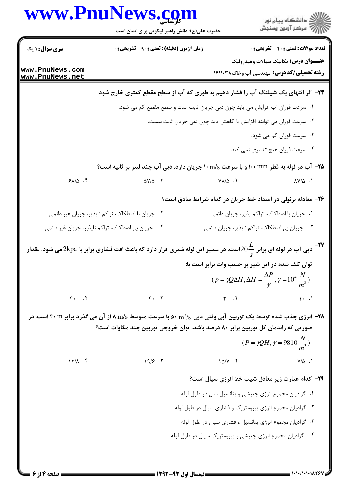|                                    | حضرت علی(ع): دانش راهبر نیکویی برای ایمان است                                                                                                    |                                                                                                                                                | ≦ دانشڪاه پيام نور<br>7- مرڪز آزمون وسنڊش                                               |
|------------------------------------|--------------------------------------------------------------------------------------------------------------------------------------------------|------------------------------------------------------------------------------------------------------------------------------------------------|-----------------------------------------------------------------------------------------|
| <b>سری سوال :</b> ۱ یک             | <b>زمان آزمون (دقیقه) : تستی : ۹۰٪ تشریحی : 0</b>                                                                                                |                                                                                                                                                | <b>تعداد سوالات : تستي : 40 - تشريحي : 0</b>                                            |
| www.PnuNews.com<br>www.PnuNews.net |                                                                                                                                                  |                                                                                                                                                | عنـــوان درس: مکانیک سیالات وهیدرولیک<br><b>رشته تحصیلی/کد درس:</b> مهندسی آب وخاک۲۱۰۳۸ |
|                                    | ۲۴– اگر انتهای یک شیلنگ آب را فشار دهیم به طوری که آب از سطح مقطع کمتری خارج شود:                                                                |                                                                                                                                                |                                                                                         |
|                                    |                                                                                                                                                  | ۰۱ سرعت فوران آب افزایش می یابد چون دبی جریان ثابت است و سطح مقطع کم می شود.                                                                   |                                                                                         |
|                                    |                                                                                                                                                  | ۰۲ سرعت فوران می توانند افزایش یا کاهش یابد چون دبی جریان ثابت نیست.                                                                           |                                                                                         |
|                                    |                                                                                                                                                  |                                                                                                                                                | ۰۳ سرعت فوران کم می شود.                                                                |
|                                    |                                                                                                                                                  |                                                                                                                                                | ۰۴ سرعت فوران هیچ تغییری نمی کند.                                                       |
|                                    | <b>۲۵</b> - آب در لوله به قطر ۱۰۰ mm و با سرعت ۱۰ m/s جریان دارد. دبی آب چند لیتر بر ثانیه است؟                                                  |                                                                                                                                                |                                                                                         |
| 91/0.9                             | $\Delta V/\Delta$ .                                                                                                                              | $V\Lambda/\Delta$ .                                                                                                                            | $\Lambda V/\Delta$ .                                                                    |
|                                    |                                                                                                                                                  | ۲۶- معادله برنولی در امتداد خط جریان در کدام شرایط صادق است؟                                                                                   |                                                                                         |
|                                    | ۰۲ جریان با اصطکاک، تراکم ناپذیر، جریان غیر دائمی                                                                                                | ٠١ جريان با اصطكاك، تراكم پذير، جريان دائمي                                                                                                    |                                                                                         |
|                                    | ۰۴ جریان بی اصطکاک، تراکم ناپذیر، جریان غیر دائمی                                                                                                | ۰۳ جریان بی اصطکاک، تراکم ناپذیر، جریان دائمی                                                                                                  |                                                                                         |
|                                    | دبی آب در لوله ای برابر ج $0\frac{L}{\varsigma}$ است. در مسیر این لوله شیری قرار دارد که باعث افت فشاری برابر با $2$ kpa می شود. مقدار $^{-1}$ ۷ |                                                                                                                                                |                                                                                         |
|                                    |                                                                                                                                                  | توان تلف شده در این شیر بر حسب وات برابر است با:<br>$(p = \gamma Q \Delta H, \Delta H = \frac{\Delta P}{\gamma}, \gamma = 10^4 \frac{N}{m^3})$ |                                                                                         |
| $\mathfrak{r}\cdots\mathfrak{r}$   | $F.$ $\cdot$                                                                                                                                     | $Y - Y$                                                                                                                                        | $\cdots$                                                                                |
|                                    | <b>۲۸</b> - انرژی جذب شده توسط یک توربین آبی وقتی دبی 5%m ۵۰ با سرعت متوسط 5%n ۸ از آن می گذرد برابر ۴۰m است. در                                 |                                                                                                                                                |                                                                                         |
|                                    | صورتی که راندمان کل توربین برابر ۸۰ درصد باشد، توان خروجی توربین چند مگاوات است؟                                                                 |                                                                                                                                                |                                                                                         |
|                                    |                                                                                                                                                  |                                                                                                                                                | $(P = \gamma QH, \gamma = 9810 \frac{N}{\gamma})$                                       |
| $17/\lambda$ . ۴                   | 19/5.7                                                                                                                                           | $1\Delta/Y$ $\cdot$ $\zeta$                                                                                                                    | $V/\Delta$ .                                                                            |
|                                    |                                                                                                                                                  | <b>۲۹</b> - کدام عبارت زیر معادل شیب خط انرژی سیال است؟                                                                                        |                                                                                         |
|                                    |                                                                                                                                                  | ۰۱ گرادیان مجموع انرژی جنبشی و پتانسیل سال در طول لوله                                                                                         |                                                                                         |
|                                    |                                                                                                                                                  | ۰۲ گرادیان مجموع انرژی پیزومتریک و فشاری سیال در طول لوله                                                                                      |                                                                                         |
|                                    |                                                                                                                                                  | ۰۳ گرادیان مجموع انرژی پتانسیل و فشاری سیال در طول لوله                                                                                        |                                                                                         |
|                                    |                                                                                                                                                  | ۰۴ گرادیان مجموع انرژی جنبشی و پیزومتریک سیال در طول لوله                                                                                      |                                                                                         |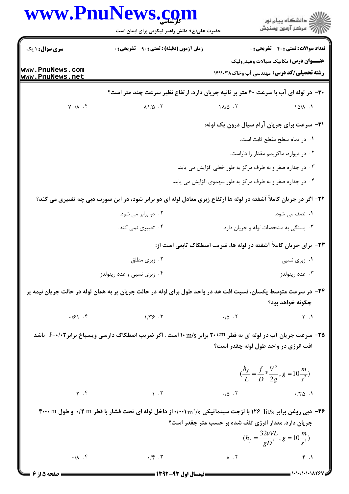|                                    | www.PnuNews.com<br>حضرت علی(ع): دانش راهبر نیکویی برای ایمان است                                                               |                                                                   | ڪ دانشڪاه پيام نور<br>ر∕ = مرڪز آزمون وسنڊش                                                    |
|------------------------------------|--------------------------------------------------------------------------------------------------------------------------------|-------------------------------------------------------------------|------------------------------------------------------------------------------------------------|
| <b>سری سوال : ۱ یک</b>             | <b>زمان آزمون (دقیقه) : تستی : ۹۰٪ تشریحی : 0</b>                                                                              |                                                                   | <b>تعداد سوالات : تستي : 40 - تشريحي : 0</b>                                                   |
| www.PnuNews.com<br>www.PnuNews.net |                                                                                                                                |                                                                   | <b>عنـــوان درس:</b> مکانیک سیالات وهیدرولیک<br><b>رشته تحصیلی/کد درس:</b> مهندسی آب وخاک۲۱۰۳۸ |
|                                    | ۳۰- در لوله ای آب با سرعت ۴۰ متر بر ثانیه جریان دارد. ارتفاع نظیر سرعت چند متر است؟                                            |                                                                   |                                                                                                |
| $Y \cdot / \Lambda$ . ۴            | $\lambda$ $\lambda$ $\Delta$ $\cdot$ $\tau$                                                                                    | $1\lambda/\Delta$ .                                               | $10/\lambda$ .                                                                                 |
|                                    |                                                                                                                                |                                                                   | ۳۱– سرعت برای جریان آرام سیال درون یک لوله:                                                    |
|                                    |                                                                                                                                |                                                                   | ٠١ در تمام سطح مقطع ثابت است.                                                                  |
|                                    |                                                                                                                                |                                                                   | ٠٢ در ديواره، ماكزيمم مقدار را داراست.                                                         |
|                                    |                                                                                                                                | ۰۳ در جداره صفر و به طرف مرکز به طور خطی افزایش می یابد.          |                                                                                                |
|                                    |                                                                                                                                | ۰۴ در جداره صفر و به طرف مرکز به طور سهموی افزایش می یابد.        |                                                                                                |
|                                    | ۳۲- اگر در جریان کاملاً آشفته در لوله ها ارتفاع زبری معادل لوله ای دو برابر شود، در این صورت دبی چه تغییری می کند؟             |                                                                   |                                                                                                |
|                                    | ۰۲ دو برابر می شود.                                                                                                            |                                                                   | ۰۱ نصف می شود.                                                                                 |
|                                    | ۰۴ تغییری نمی کند.                                                                                                             |                                                                   | ۰۳ بستگی به مشخصات لوله و جریان دارد.                                                          |
|                                    |                                                                                                                                | ۳۳– برای جریان کاملاً آشفته در لوله ها، ضریب اصطکاک تابعی است از: |                                                                                                |
|                                    | ۰۲ زبری مطلق                                                                                                                   |                                                                   | ۰۱ زبری نسبی                                                                                   |
|                                    | ۰۴ زېږي نسبې و عدد رينولدز                                                                                                     |                                                                   | ۰۳ عدد رينولدز                                                                                 |
|                                    | ۳۴– در سرعت متوسط یکسان، نسبت افت هد در واحد طول برای لوله در حالت جریان پر به همان لوله در حالت جریان نیمه پر                 |                                                                   |                                                                                                |
|                                    |                                                                                                                                |                                                                   | چگونه خواهد بود؟                                                                               |
| $\cdot$ /2 \ $\cdot$ $\uparrow$    | $\gamma/\gamma \gamma$ . $\gamma$                                                                                              | $\cdot/\triangle$ . T                                             | $\gamma$ .                                                                                     |
|                                    | <b>۳۵-</b> سرعت جریان آب در لوله ای به قطر ۲۰cm برابر ۱۰ m/s است . اگر ضریب اصطکاک دارسی ویسباخ برابر <b>۲-</b> ۰/۰۲ باشد      |                                                                   |                                                                                                |
|                                    |                                                                                                                                |                                                                   | افت انرژی در واحد طول لوله چقدر است؟                                                           |
|                                    |                                                                                                                                |                                                                   | $\left(\frac{h_f}{L} = \frac{f}{D} * \frac{V^2}{2g}, g = 10 \frac{m}{s^2}\right)$              |
| $\gamma$ . $\zeta$                 | $\mathcal{N}$ . T                                                                                                              | $\cdot/\Delta$ .                                                  | .70.1                                                                                          |
|                                    | ۳۶- دبی روغن برابر lit/s و ۱۲۶ با لزجت سینماتیکی ۱۰/۰۰۱ $\rm m^2/s$ در ۱۰۰۱ $\rm m^2/s$ است فشار با قطر ۱۴ m ۰/۴ و طول ۱۲۰۰۰ m | جریان دارد. مقدار انرژی تلف شده بر حسب متر چقدر است؟              |                                                                                                |
|                                    |                                                                                                                                |                                                                   | $(h_f = \frac{32VVL}{gD^2}, g = 10\frac{m}{s^2})$                                              |
|                                    |                                                                                                                                |                                                                   |                                                                                                |